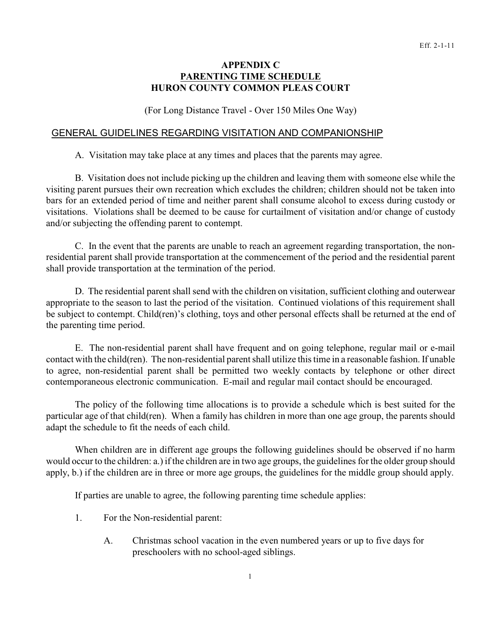## **APPENDIX C PARENTING TIME SCHEDULE HURON COUNTY COMMON PLEAS COURT**

(For Long Distance Travel - Over 150 Miles One Way)

## GENERAL GUIDELINES REGARDING VISITATION AND COMPANIONSHIP

A. Visitation may take place at any times and places that the parents may agree.

B. Visitation does not include picking up the children and leaving them with someone else while the visiting parent pursues their own recreation which excludes the children; children should not be taken into bars for an extended period of time and neither parent shall consume alcohol to excess during custody or visitations. Violations shall be deemed to be cause for curtailment of visitation and/or change of custody and/or subjecting the offending parent to contempt.

C. In the event that the parents are unable to reach an agreement regarding transportation, the nonresidential parent shall provide transportation at the commencement of the period and the residential parent shall provide transportation at the termination of the period.

D. The residential parent shall send with the children on visitation, sufficient clothing and outerwear appropriate to the season to last the period of the visitation. Continued violations of this requirement shall be subject to contempt. Child(ren)'s clothing, toys and other personal effects shall be returned at the end of the parenting time period.

E. The non-residential parent shall have frequent and on going telephone, regular mail or e-mail contact with the child(ren). The non-residential parent shall utilize this time in a reasonable fashion. If unable to agree, non-residential parent shall be permitted two weekly contacts by telephone or other direct contemporaneous electronic communication. E-mail and regular mail contact should be encouraged.

The policy of the following time allocations is to provide a schedule which is best suited for the particular age of that child(ren). When a family has children in more than one age group, the parents should adapt the schedule to fit the needs of each child.

When children are in different age groups the following guidelines should be observed if no harm would occur to the children: a.) if the children are in two age groups, the guidelines for the older group should apply, b.) if the children are in three or more age groups, the guidelines for the middle group should apply.

If parties are unable to agree, the following parenting time schedule applies:

- 1. For the Non-residential parent:
	- A. Christmas school vacation in the even numbered years or up to five days for preschoolers with no school-aged siblings.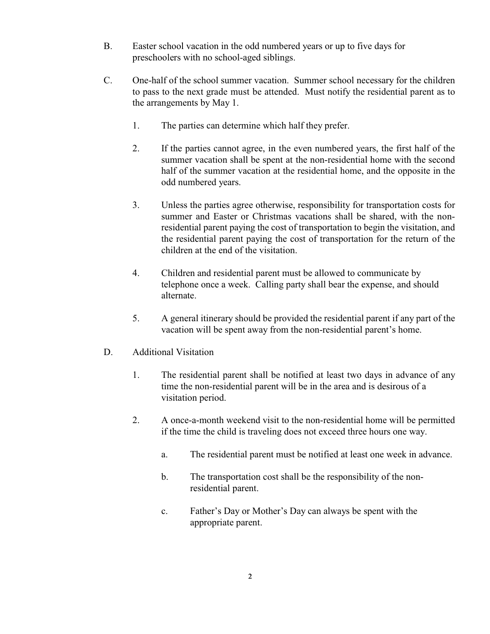- B. Easter school vacation in the odd numbered years or up to five days for preschoolers with no school-aged siblings.
- C. One-half of the school summer vacation. Summer school necessary for the children to pass to the next grade must be attended. Must notify the residential parent as to the arrangements by May 1.
	- 1. The parties can determine which half they prefer.
	- 2. If the parties cannot agree, in the even numbered years, the first half of the summer vacation shall be spent at the non-residential home with the second half of the summer vacation at the residential home, and the opposite in the odd numbered years.
	- 3. Unless the parties agree otherwise, responsibility for transportation costs for summer and Easter or Christmas vacations shall be shared, with the nonresidential parent paying the cost of transportation to begin the visitation, and the residential parent paying the cost of transportation for the return of the children at the end of the visitation.
	- 4. Children and residential parent must be allowed to communicate by telephone once a week. Calling party shall bear the expense, and should alternate.
	- 5. A general itinerary should be provided the residential parent if any part of the vacation will be spent away from the non-residential parent's home.
- D. Additional Visitation
	- 1. The residential parent shall be notified at least two days in advance of any time the non-residential parent will be in the area and is desirous of a visitation period.
	- 2. A once-a-month weekend visit to the non-residential home will be permitted if the time the child is traveling does not exceed three hours one way.
		- a. The residential parent must be notified at least one week in advance.
		- b. The transportation cost shall be the responsibility of the nonresidential parent.
		- c. Father's Day or Mother's Day can always be spent with the appropriate parent.